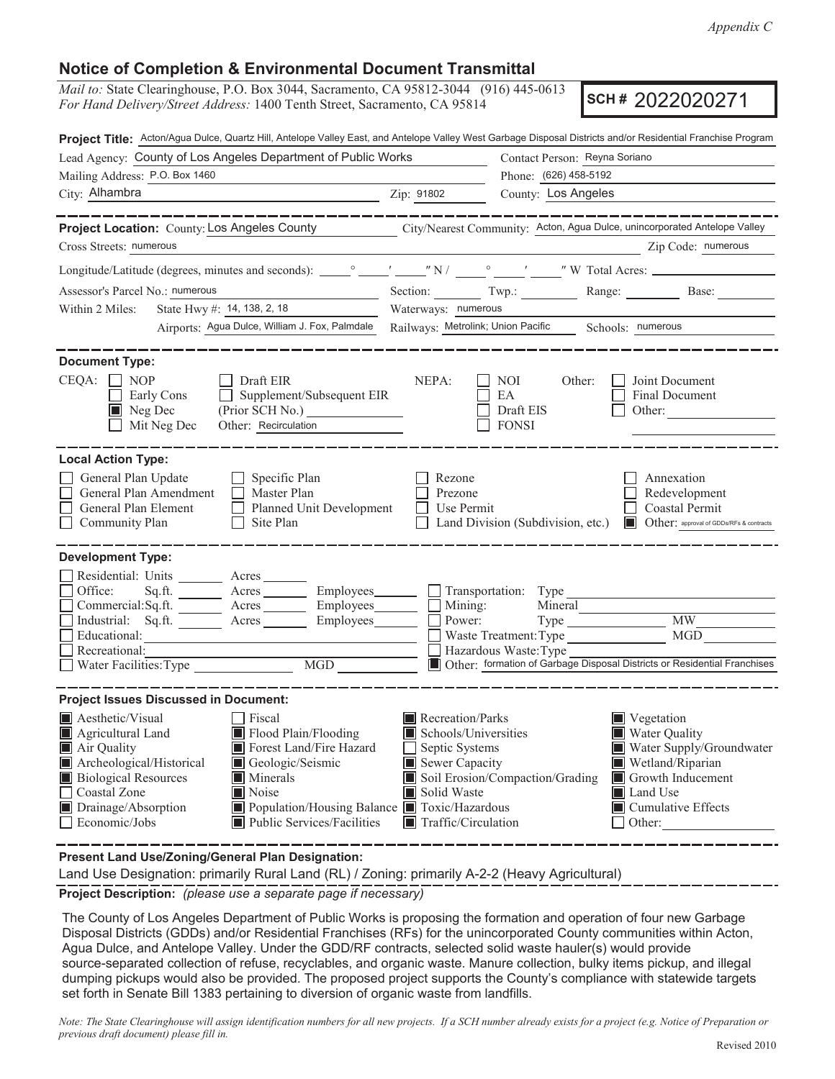## **Notice of Completion & Environmental Document Transmittal**

*Mail to:* State Clearinghouse, P.O. Box 3044, Sacramento, CA 95812-3044 (916) 445-0613 *For Hand Delivery/Street Address:* 1400 Tenth Street, Sacramento, CA 95814

**SCH #** 2022020271

| Project Title: Acton/Agua Dulce, Quartz Hill, Antelope Valley East, and Antelope Valley West Garbage Disposal Districts and/or Residential Franchise Program<br>Lead Agency: County of Los Angeles Department of Public Works                                                                                                                                           |                                                                                                                                   |                                                          |                                                                                                                                                                        |  |  |  |
|-------------------------------------------------------------------------------------------------------------------------------------------------------------------------------------------------------------------------------------------------------------------------------------------------------------------------------------------------------------------------|-----------------------------------------------------------------------------------------------------------------------------------|----------------------------------------------------------|------------------------------------------------------------------------------------------------------------------------------------------------------------------------|--|--|--|
| Mailing Address: P.O. Box 1460                                                                                                                                                                                                                                                                                                                                          | Contact Person: Reyna Soriano<br>Phone: (626) 458-5192                                                                            |                                                          |                                                                                                                                                                        |  |  |  |
| City: Alhambra                                                                                                                                                                                                                                                                                                                                                          | Zip: 91802                                                                                                                        | County: Los Angeles                                      |                                                                                                                                                                        |  |  |  |
| Project Location: County: Los Angeles County City/Nearest Community: Acton, Agua Dulce, unincorporated Antelope Valley<br>Cross Streets: numerous                                                                                                                                                                                                                       |                                                                                                                                   |                                                          | Zip Code: numerous                                                                                                                                                     |  |  |  |
|                                                                                                                                                                                                                                                                                                                                                                         |                                                                                                                                   |                                                          |                                                                                                                                                                        |  |  |  |
| Assessor's Parcel No.: numerous                                                                                                                                                                                                                                                                                                                                         |                                                                                                                                   |                                                          | Section: Twp.: Range: Base:                                                                                                                                            |  |  |  |
| State Hwy #: 14, 138, 2, 18<br>Within 2 Miles:                                                                                                                                                                                                                                                                                                                          | Waterways: numerous                                                                                                               |                                                          |                                                                                                                                                                        |  |  |  |
| Airports: Agua Dulce, William J. Fox, Palmdale                                                                                                                                                                                                                                                                                                                          | Railways: Metrolink; Union Pacific Schools: numerous                                                                              |                                                          |                                                                                                                                                                        |  |  |  |
| <b>Document Type:</b><br>CEQA:<br>$\Box$ NOP<br>Draft EIR<br>Supplement/Subsequent EIR<br>Early Cons<br>$\blacksquare$ Neg Dec<br>Other: Recirculation<br>Mit Neg Dec                                                                                                                                                                                                   | NEPA:                                                                                                                             | Other:<br>NOI.<br>EA<br>Draft EIS<br><b>FONSI</b>        | Joint Document<br>Final Document<br>Other:                                                                                                                             |  |  |  |
| <b>Local Action Type:</b>                                                                                                                                                                                                                                                                                                                                               |                                                                                                                                   |                                                          |                                                                                                                                                                        |  |  |  |
| General Plan Update<br>Specific Plan<br>General Plan Amendment<br>Master Plan<br>$\perp$<br>General Plan Element<br>Planned Unit Development<br>Site Plan<br>Community Plan                                                                                                                                                                                             | Rezone<br>Prezone<br>Use Permit                                                                                                   | Land Division (Subdivision, etc.)                        | Annexation<br>Redevelopment<br>Coastal Permit<br>Other: approval of GDDs/RFs & contracts                                                                               |  |  |  |
| <b>Development Type:</b><br>Residential: Units ______<br>Acres<br>Office:<br>Sq.ft.<br>Employees________<br>Commercial:Sq.ft. _________ Acres _______<br>Employees______<br>Industrial: Sq.ft. _______ Acres ______<br>Employees________<br>Educational:<br>Recreational:<br>$\overline{\text{MGD}}$<br>Water Facilities: Type                                          | Mining:<br>Power:                                                                                                                 | Transportation: Type<br>Mineral<br>Hazardous Waste: Type | $\overline{\text{MW}}$<br>MGD<br>Other: formation of Garbage Disposal Districts or Residential Franchises                                                              |  |  |  |
| <b>Project Issues Discussed in Document:</b>                                                                                                                                                                                                                                                                                                                            |                                                                                                                                   |                                                          |                                                                                                                                                                        |  |  |  |
| Aesthetic/Visual<br>$\Box$ Fiscal<br>Flood Plain/Flooding<br>Agricultural Land<br>Air Quality<br>Forest Land/Fire Hazard<br>Archeological/Historical<br>Geologic/Seismic<br><b>Biological Resources</b><br>Minerals<br>Noise<br>Coastal Zone<br>Population/Housing Balance Toxic/Hazardous<br>Drainage/Absorption<br>Economic/Jobs<br><b>Public Services/Facilities</b> | Recreation/Parks<br>Schools/Universities<br>Septic Systems<br>Sewer Capacity<br>Solid Waste<br>$\blacksquare$ Traffic/Circulation | Soil Erosion/Compaction/Grading                          | ■ Vegetation<br><b>Water Quality</b><br>Water Supply/Groundwater<br>Wetland/Riparian<br>Growth Inducement<br>■ Land Use<br>$\blacksquare$ Cumulative Effects<br>Other: |  |  |  |

**Present Land Use/Zoning/General Plan Designation:**

Land Use Designation: primarily Rural Land (RL) / Zoning: primarily A-2-2 (Heavy Agricultural)

**Project Description:** *(please use a separate page if necessary)*

 The County of Los Angeles Department of Public Works is proposing the formation and operation of four new Garbage Disposal Districts (GDDs) and/or Residential Franchises (RFs) for the unincorporated County communities within Acton, Agua Dulce, and Antelope Valley. Under the GDD/RF contracts, selected solid waste hauler(s) would provide source-separated collection of refuse, recyclables, and organic waste. Manure collection, bulky items pickup, and illegal dumping pickups would also be provided. The proposed project supports the County's compliance with statewide targets set forth in Senate Bill 1383 pertaining to diversion of organic waste from landfills.

*Note: The State Clearinghouse will assign identification numbers for all new projects. If a SCH number already exists for a project (e.g. Notice of Preparation or previous draft document) please fill in.*